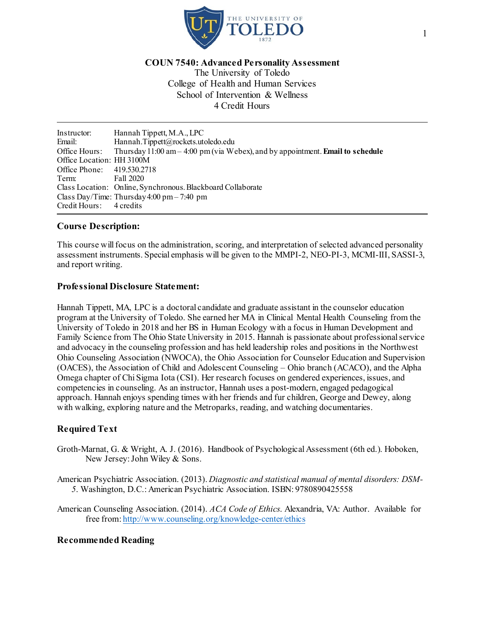

**COUN 7540: Advanced Personality Assessment**

The University of Toledo College of Health and Human Services School of Intervention & Wellness 4 Credit Hours

Instructor: Hannah Tippett, M.A., LPC Email: Hannah.Tippett@rockets.utoledo.edu Office Hours: Thursday11:00 am– 4:00 pm(via Webex), and by appointment. **Email to schedule** Office Location: HH 3100M Office Phone: 419.530.2718<br>Term: Fall 2020 Fall 2020 Class Location: Online, Synchronous. Blackboard Collaborate Class Day/Time: Thursday 4:00 pm – 7:40 pm<br>Credit Hours: 4 credits Credit Hours:

# **Course Description:**

This course will focus on the administration, scoring, and interpretation of selected advanced personality assessment instruments. Special emphasis will be given to the MMPI-2, NEO-PI-3, MCMI-III, SASSI-3, and report writing.

#### **Professional Disclosure Statement:**

Hannah Tippett, MA, LPC is a doctoral candidate and graduate assistant in the counselor education program at the University of Toledo. She earned her MA in Clinical Mental Health Counseling from the University of Toledo in 2018 and her BS in Human Ecology with a focus in Human Development and Family Science from The Ohio State University in 2015. Hannah is passionate about professional service and advocacy in the counseling profession and has held leadership roles and positions in the Northwest Ohio Counseling Association (NWOCA), the Ohio Association for Counselor Education and Supervision (OACES), the Association of Child and Adolescent Counseling – Ohio branch (ACACO), and the Alpha Omega chapter of Chi Sigma Iota (CSI). Her research focuses on gendered experiences, issues, and competencies in counseling. As an instructor, Hannah uses a post-modern, engaged pedagogical approach. Hannah enjoys spending times with her friends and fur children, George and Dewey, along with walking, exploring nature and the Metroparks, reading, and watching documentaries.

## **Required Text**

- Groth-Marnat, G. & Wright, A. J. (2016). Handbook of Psychological Assessment (6th ed.). Hoboken, New Jersey: John Wiley & Sons.
- American Psychiatric Association. (2013). *Diagnostic and statistical manual of mental disorders: DSM-5*. Washington, D.C.: American Psychiatric Association. ISBN: 9780890425558
- American Counseling Association. (2014). *ACA Code of Ethics*. Alexandria, VA: Author. Available for free from[: http://www.counseling.org/knowledge-center/ethics](http://www.counseling.org/knowledge-center/ethics)

## **Recommended Reading**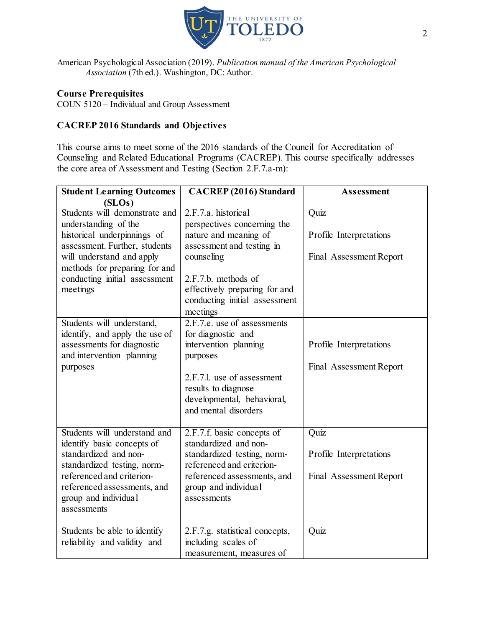

American Psychological Association (2019). *Publication manual of the American Psychological Association* (7th ed.). Washington, DC: Author.

# **Course Prerequisites**

COUN 5120 – Individual and Group Assessment

# **CACREP 2016 Standards and Objectives**

This course aims to meet some of the 2016 standards of the Council for Accreditation of Counseling and Related Educational Programs (CACREP). This course specifically addresses the core area of Assessment and Testing (Section 2.F.7.a-m):

| <b>Student Learning Outcomes</b> | <b>CACREP</b> (2016) Standard       | <b>Assessment</b>       |
|----------------------------------|-------------------------------------|-------------------------|
| (SLOS)                           |                                     |                         |
| Students will demonstrate and    | 2.F.7.a. historical                 | Quiz                    |
| understanding of the             | perspectives concerning the         |                         |
| historical underpinnings of      | nature and meaning of               | Profile Interpretations |
| assessment. Further, students    | assessment and testing in           |                         |
| will understand and apply        | counseling                          | Final Assessment Report |
| methods for preparing for and    |                                     |                         |
| conducting initial assessment    | 2.F.7.b. methods of                 |                         |
| meetings                         | effectively preparing for and       |                         |
|                                  | conducting initial assessment       |                         |
|                                  | meetings                            |                         |
| Students will understand,        | 2.F.7.e. use of assessments         |                         |
| identify, and apply the use of   | for diagnostic and                  |                         |
| assessments for diagnostic       | intervention planning               | Profile Interpretations |
| and intervention planning        | purposes                            |                         |
| purposes                         |                                     | Final Assessment Report |
|                                  | 2.F.7.1, use of assessment          |                         |
|                                  | results to diagnose                 |                         |
|                                  | developmental, behavioral,          |                         |
|                                  | and mental disorders                |                         |
|                                  |                                     |                         |
| Students will understand and     | 2.F.7.f. basic concepts of          | Quiz                    |
| identify basic concepts of       | standardized and non-               |                         |
| standardized and non-            | standardized testing, norm-         | Profile Interpretations |
| standardized testing, norm-      | referenced and criterion-           |                         |
| referenced and criterion-        | referenced assessments, and         | Final Assessment Report |
| referenced assessments, and      | group and individual<br>assessments |                         |
| group and individual             |                                     |                         |
| assessments                      |                                     |                         |
| Students be able to identify     | 2.F.7.g. statistical concepts,      | Quiz                    |
| reliability and validity and     | including scales of                 |                         |
|                                  | measurement, measures of            |                         |
|                                  |                                     |                         |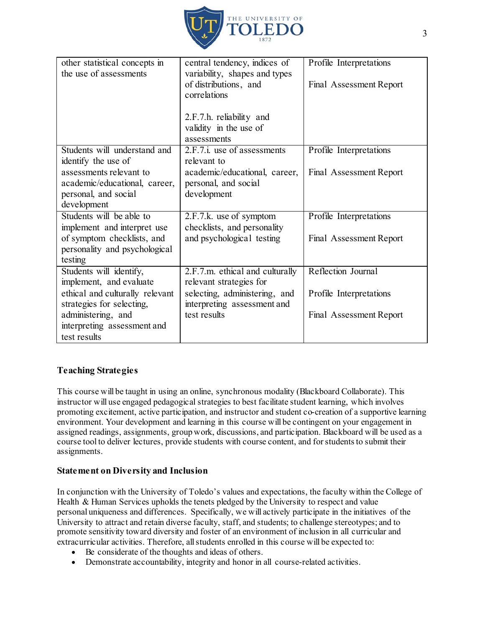

| other statistical concepts in<br>the use of assessments      | central tendency, indices of<br>variability, shapes and types<br>of distributions, and<br>correlations | Profile Interpretations<br>Final Assessment Report |
|--------------------------------------------------------------|--------------------------------------------------------------------------------------------------------|----------------------------------------------------|
|                                                              | 2.F.7.h. reliability and<br>validity in the use of<br>assessments                                      |                                                    |
| Students will understand and                                 | $2.F.7.i.$ use of assessments                                                                          | Profile Interpretations                            |
| identify the use of                                          | relevant to                                                                                            |                                                    |
| assessments relevant to<br>academic/educational, career,     | academic/educational, career,<br>personal, and social                                                  | Final Assessment Report                            |
| personal, and social                                         | development                                                                                            |                                                    |
| development                                                  |                                                                                                        |                                                    |
| Students will be able to                                     | 2.F.7.k. use of symptom                                                                                | Profile Interpretations                            |
| implement and interpret use                                  | checklists, and personality                                                                            |                                                    |
| of symptom checklists, and                                   | and psychological testing                                                                              | Final Assessment Report                            |
| personality and psychological                                |                                                                                                        |                                                    |
| testing                                                      |                                                                                                        |                                                    |
| Students will identify,                                      | $2.F.7.m.$ ethical and culturally                                                                      | Reflection Journal                                 |
| implement, and evaluate                                      | relevant strategies for                                                                                |                                                    |
| ethical and culturally relevant<br>strategies for selecting, | selecting, administering, and                                                                          | Profile Interpretations                            |
| administering, and                                           | interpreting assessment and<br>test results                                                            | Final Assessment Report                            |
| interpreting assessment and                                  |                                                                                                        |                                                    |
| test results                                                 |                                                                                                        |                                                    |

# **Teaching Strategies**

This course will be taught in using an online, synchronous modality (Blackboard Collaborate). This instructor will use engaged pedagogical strategies to best facilitate student learning, which involves promoting excitement, active participation, and instructor and student co-creation of a supportive learning environment. Your development and learning in this course will be contingent on your engagement in assigned readings, assignments, group work, discussions, and participation. Blackboard will be used as a course tool to deliver lectures, provide students with course content, and for students to submit their assignments.

## **Statement on Diversity and Inclusion**

In conjunction with the University of Toledo's values and expectations, the faculty within the College of Health & Human Services upholds the tenets pledged by the University to respect and value personal uniqueness and differences.  Specifically, we will actively participate in the initiatives of the University to attract and retain diverse faculty, staff, and students; to challenge stereotypes; and to promote sensitivity toward diversity and foster of an environment of inclusion in all curricular and extracurricular activities. Therefore, allstudents enrolled in this course will be expected to:

- Be considerate of the thoughts and ideas of others.
- Demonstrate accountability, integrity and honor in all course-related activities.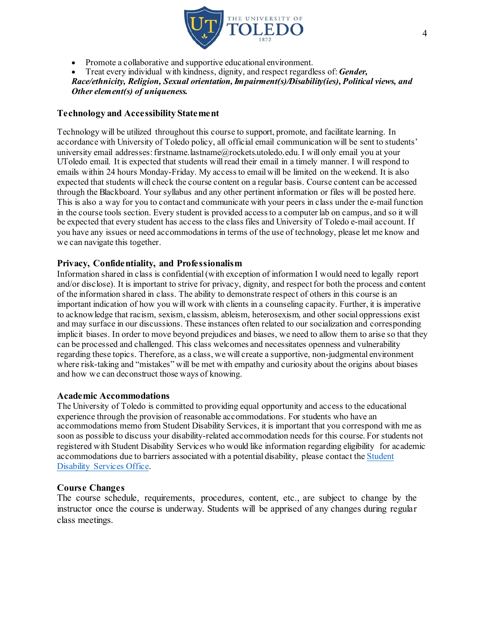

• Promote a collaborative and supportive educational environment.

• Treat every individual with kindness, dignity, and respect regardless of: *Gender, Race/ethnicity, Religion, Sexual orientation,Impairment(s)/Disability(ies), Political views, and Other element(s) of uniqueness.*

## **Technology and Accessibility Statement**

Technology will be utilized throughout this course to support, promote, and facilitate learning. In accordance with University of Toledo policy, all official email communication will be sent to students' university email addresses: firstname.lastname@rockets.utoledo.edu. I will only email you at your UToledo email. It is expected that students will read their email in a timely manner. I will respond to emails within 24 hours Monday-Friday. My access to email will be limited on the weekend. It is also expected that students will check the course content on a regular basis. Course content can be accessed through the Blackboard. Your syllabus and any other pertinent information or files will be posted here. This is also a way for you to contact and communicate with your peers in class under the e-mail function in the course tools section. Every student is provided access to a computer lab on campus, and so it will be expected that every student has access to the class files and University of Toledo e-mail account. If you have any issues or need accommodations in terms of the use of technology, please let me know and we can navigate this together.

## **Privacy, Confidentiality, and Professionalism**

Information shared in class is confidential (with exception of information I would need to legally report and/or disclose). It is important to strive for privacy, dignity, and respect for both the process and content of the information shared in class. The ability to demonstrate respect of others in this course is an important indication of how you will work with clients in a counseling capacity. Further, it is imperative to acknowledge that racism, sexism, classism, ableism, heterosexism, and other social oppressions exist and may surface in our discussions. These instances often related to our socialization and corresponding implicit biases. In order to move beyond prejudices and biases, we need to allow them to arise so that they can be processed and challenged. This class welcomes and necessitates openness and vulnerability regarding these topics. Therefore, as a class, we will create a supportive, non-judgmental environment where risk-taking and "mistakes" will be met with empathy and curiosity about the origins about biases and how we can deconstruct those ways of knowing.

## **Academic Accommodations**

The University of Toledo is committed to providing equal opportunity and access to the educational experience through the provision of reasonable accommodations. For students who have an accommodations memo from Student Disability Services, it is important that you correspond with me as soon as possible to discuss your disability-related accommodation needs for this course. For students not registered with Student Disability Services who would like information regarding eligibility for academic accommodations due to barriers associated with a potential disability, please contact the [Student](http://www.utoledo.edu/offices/student-disability-services/index.html)  [Disability Services Office](http://www.utoledo.edu/offices/student-disability-services/index.html).

## **Course Changes**

The course schedule, requirements, procedures, content, etc., are subject to change by the instructor once the course is underway. Students will be apprised of any changes during regular class meetings.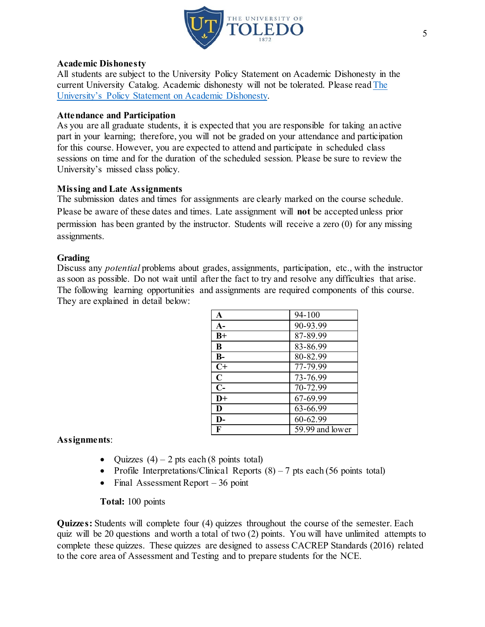

#### **Academic Dishonesty**

All students are subject to the University Policy Statement on Academic Dishonesty in the current University Catalog. Academic dishonesty will not be tolerated. Please rea[d The](http://www.utoledo.edu/dl/students/dishonesty.html)  [University's Policy Statement on Academic Dishonesty.](http://www.utoledo.edu/dl/students/dishonesty.html) 

## **Attendance and Participation**

As you are all graduate students, it is expected that you are responsible for taking an active part in your learning; therefore, you will not be graded on your attendance and participation for this course. However, you are expected to attend and participate in scheduled class sessions on time and for the duration of the scheduled session. Please be sure to review the University's missed class policy.

#### **Missing and Late Assignments**

The submission dates and times for assignments are clearly marked on the course schedule. Please be aware of these dates and times. Late assignment will **not** be accepted unless prior permission has been granted by the instructor. Students will receive a zero (0) for any missing assignments.

#### **Grading**

Discuss any *potential* problems about grades, assignments, participation, etc., with the instructor as soon as possible. Do not wait until after the fact to try and resolve any difficulties that arise. The following learning opportunities and assignments are required components of this course. They are explained in detail below:

| A           | 94-100          |
|-------------|-----------------|
| $A-$        | 90-93.99        |
| $B+$        | 87-89.99        |
| B           | 83-86.99        |
| $B-$        | 80-82.99        |
| $C+$        | 77-79.99        |
| $\mathbf C$ | 73-76.99        |
| $C-$        | 70-72.99        |
| $D+$        | 67-69.99        |
| D           | 63-66.99        |
| D-          | 60-62.99        |
| F           | 59.99 and lower |

## **Assignments**:

- Quizzes  $(4)$  2 pts each  $(8 \text{ points total})$
- Profile Interpretations/Clinical Reports  $(8) 7$  pts each (56 points total)
- Final Assessment Report  $-36$  point

## **Total:** 100 points

**Quizzes:** Students will complete four (4) quizzes throughout the course of the semester. Each quiz will be 20 questions and worth a total of two (2) points. You will have unlimited attempts to complete these quizzes. These quizzes are designed to assess CACREP Standards (2016) related to the core area of Assessment and Testing and to prepare students for the NCE.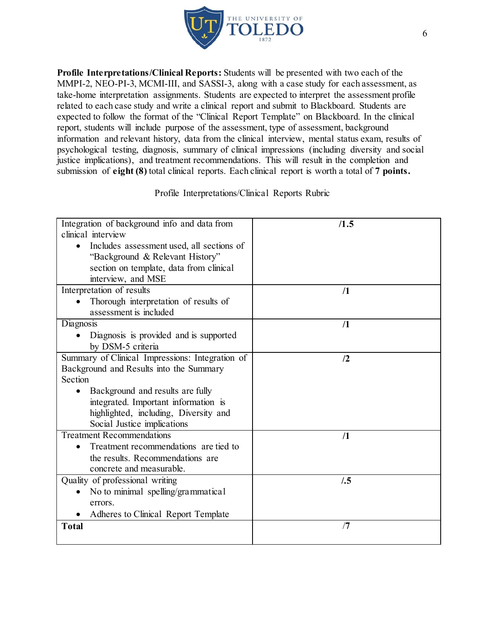

**Profile Interpretations/Clinical Reports:** Students will be presented with two each of the MMPI-2, NEO-PI-3, MCMI-III, and SASSI-3, along with a case study for each assessment, as take-home interpretation assignments. Students are expected to interpret the assessment profile related to each case study and write a clinical report and submit to Blackboard. Students are expected to follow the format of the "Clinical Report Template" on Blackboard. In the clinical report, students will include purpose of the assessment, type of assessment, background information and relevant history, data from the clinical interview, mental status exam, results of psychological testing, diagnosis, summary of clinical impressions (including diversity and social justice implications), and treatment recommendations. This will result in the completion and submission of **eight (8)** total clinical reports. Each clinical report is worth a total of **7 points.**

Profile Interpretations/Clinical Reports Rubric

| Integration of background info and data from    | /1.5      |
|-------------------------------------------------|-----------|
| clinical interview                              |           |
| Includes assessment used, all sections of       |           |
| "Background & Relevant History"                 |           |
| section on template, data from clinical         |           |
| interview, and MSE                              |           |
| Interpretation of results                       | $\Lambda$ |
| Thorough interpretation of results of           |           |
| assessment is included                          |           |
| Diagnosis                                       | /1        |
| Diagnosis is provided and is supported          |           |
| by DSM-5 criteria                               |           |
| Summary of Clinical Impressions: Integration of | /2        |
| Background and Results into the Summary         |           |
| Section                                         |           |
| Background and results are fully                |           |
| integrated. Important information is            |           |
| highlighted, including, Diversity and           |           |
| Social Justice implications                     |           |
| <b>Treatment Recommendations</b>                | $\Lambda$ |
| Treatment recommendations are tied to           |           |
| the results. Recommendations are                |           |
| concrete and measurable.                        |           |
| Quality of professional writing                 | /0.5      |
| No to minimal spelling/grammatical              |           |
| errors.                                         |           |
| Adheres to Clinical Report Template             |           |
| <b>Total</b>                                    | /7        |
|                                                 |           |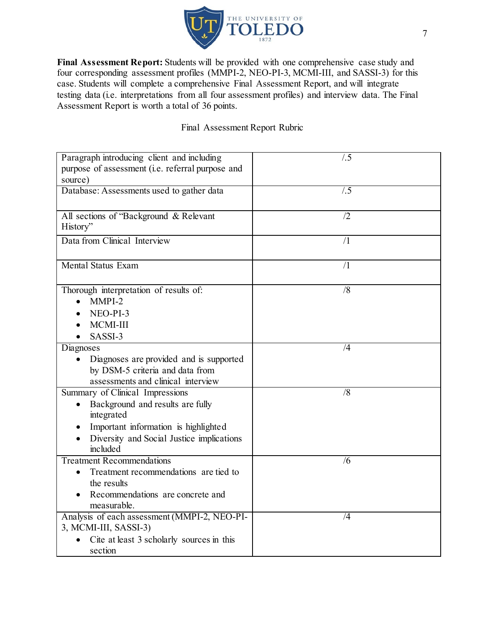

Final Assessment Report: Students will be provided with one comprehensive case study and four corresponding assessment profiles (MMPI-2, NEO-PI-3, MCMI-III, and SASSI-3) for this case. Students will complete a comprehensive Final Assessment Report, and will integrate testing data (i.e. interpretations from all four assessment profiles) and interview data. The Final Assessment Report is worth a total of 36 points.

# Final Assessment Report Rubric

| Paragraph introducing client and including<br>purpose of assessment (i.e. referral purpose and | /0.5           |
|------------------------------------------------------------------------------------------------|----------------|
| source)                                                                                        |                |
| Database: Assessments used to gather data                                                      | /0.5           |
| All sections of "Background & Relevant<br>History"                                             | /2             |
| Data from Clinical Interview                                                                   | $\sqrt{1}$     |
| <b>Mental Status Exam</b>                                                                      | $\sqrt{1}$     |
| Thorough interpretation of results of:<br>MMPI-2                                               | /8             |
| NEO-PI-3                                                                                       |                |
| MCMI-III                                                                                       |                |
| SASSI-3                                                                                        |                |
| Diagnoses                                                                                      | /4             |
| Diagnoses are provided and is supported                                                        |                |
| by DSM-5 criteria and data from                                                                |                |
| assessments and clinical interview                                                             |                |
| Summary of Clinical Impressions                                                                | $\overline{8}$ |
| Background and results are fully                                                               |                |
| integrated                                                                                     |                |
| Important information is highlighted                                                           |                |
| Diversity and Social Justice implications                                                      |                |
| included                                                                                       |                |
| <b>Treatment Recommendations</b><br>Treatment recommendations are tied to                      | /6             |
| the results                                                                                    |                |
| Recommendations are concrete and                                                               |                |
| measurable.                                                                                    |                |
| Analysis of each assessment (MMPI-2, NEO-PI-                                                   | $\overline{4}$ |
| 3, MCMI-III, SASSI-3)                                                                          |                |
| Cite at least 3 scholarly sources in this                                                      |                |
| section                                                                                        |                |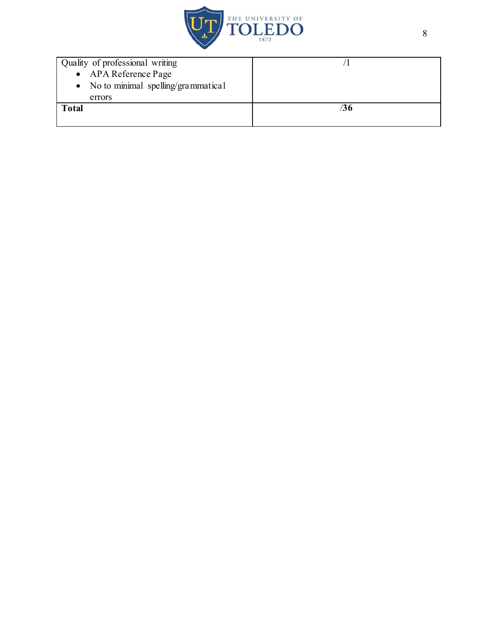

| Quality of professional writing      |    |
|--------------------------------------|----|
| • APA Reference Page                 |    |
| • No to minimal spelling/grammatical |    |
| errors                               |    |
| <b>Total</b>                         | 36 |
|                                      |    |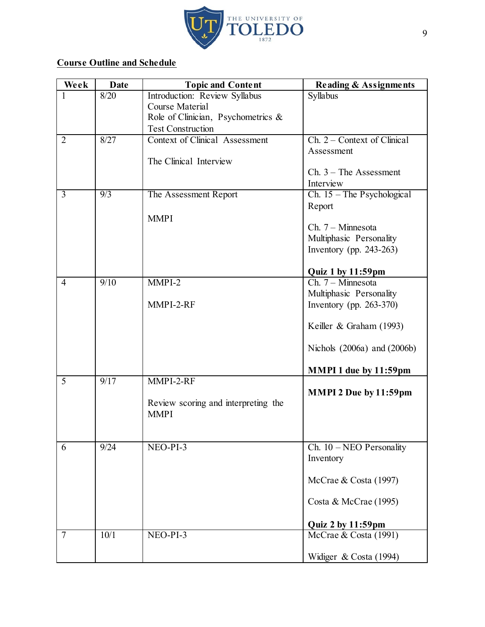

# **Course Outline and Schedule**

| Week           | <b>Date</b> | <b>Topic and Content</b>                           | <b>Reading &amp; Assignments</b>   |
|----------------|-------------|----------------------------------------------------|------------------------------------|
|                | 8/20        | Introduction: Review Syllabus                      | Syllabus                           |
|                |             | Course Material                                    |                                    |
|                |             | Role of Clinician, Psychometrics &                 |                                    |
|                |             | <b>Test Construction</b>                           |                                    |
| $\overline{2}$ | 8/27        | <b>Context of Clinical Assessment</b>              | Ch. 2 – Context of Clinical        |
|                |             |                                                    | Assessment                         |
|                |             | The Clinical Interview                             |                                    |
|                |             |                                                    | $Ch. 3$ – The Assessment           |
| 3              | 9/3         |                                                    | Interview                          |
|                |             | The Assessment Report                              | Ch. $15$ – The Psychological       |
|                |             |                                                    | Report                             |
|                |             | <b>MMPI</b>                                        | $Ch. 7 - Minnesota$                |
|                |             |                                                    | Multiphasic Personality            |
|                |             |                                                    | Inventory (pp. $243-263$ )         |
|                |             |                                                    |                                    |
|                |             |                                                    | Quiz 1 by 11:59pm                  |
| $\overline{4}$ | 9/10        | MMPI-2                                             | Ch. 7 - Minnesota                  |
|                |             |                                                    | Multiphasic Personality            |
|                |             | MMPI-2-RF                                          | Inventory (pp. $263-370$ )         |
|                |             |                                                    |                                    |
|                |             |                                                    | Keiller & Graham (1993)            |
|                |             |                                                    |                                    |
|                |             |                                                    | Nichols (2006a) and (2006b)        |
|                |             |                                                    |                                    |
|                |             |                                                    | MMPI 1 due by 11:59pm              |
| 5              | 9/17        | MMPI-2-RF                                          |                                    |
|                |             |                                                    | MMPI 2 Due by 11:59pm              |
|                |             | Review scoring and interpreting the<br><b>MMPI</b> |                                    |
|                |             |                                                    |                                    |
|                |             |                                                    |                                    |
| 6              | 9/24        | NEO-PI-3                                           | Ch. $10 - \text{NEO }$ Personality |
|                |             |                                                    | Inventory                          |
|                |             |                                                    |                                    |
|                |             |                                                    | McCrae & Costa (1997)              |
|                |             |                                                    |                                    |
|                |             |                                                    | Costa & McCrae (1995)              |
|                |             |                                                    |                                    |
|                |             |                                                    | Quiz 2 by 11:59pm                  |
| $\overline{7}$ | 10/1        | NEO-PI-3                                           | McCrae & Costa (1991)              |
|                |             |                                                    |                                    |
|                |             |                                                    | Widiger & Costa (1994)             |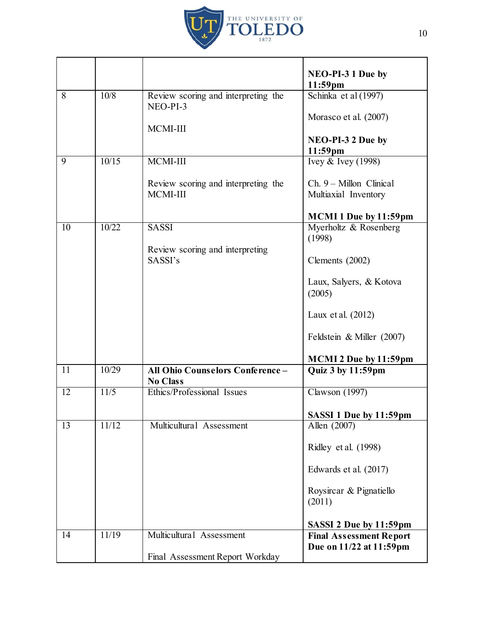

|    |       |                                                    | NEO-PI-3 1 Due by<br>11:59pm                              |
|----|-------|----------------------------------------------------|-----------------------------------------------------------|
| 8  | 10/8  | Review scoring and interpreting the<br>NEO-PI-3    | Schinka et al (1997)                                      |
|    |       | MCMI-III                                           | Morasco et al. (2007)                                     |
|    |       |                                                    | NEO-PI-3 2 Due by<br>11:59pm                              |
| 9  | 10/15 | MCMI-III                                           | Ivey & Ivey (1998)                                        |
|    |       | Review scoring and interpreting the<br>MCMI-III    | $Ch. 9 - Millon Clinical$<br>Multiaxial Inventory         |
|    |       |                                                    | <b>MCMI 1 Due by 11:59pm</b>                              |
| 10 | 10/22 | <b>SASSI</b>                                       | Myerholtz & Rosenberg<br>(1998)                           |
|    |       | Review scoring and interpreting<br>SASSI's         | Clements (2002)                                           |
|    |       |                                                    | Laux, Salyers, & Kotova<br>(2005)                         |
|    |       |                                                    | Laux et al. (2012)                                        |
|    |       |                                                    | Feldstein & Miller (2007)                                 |
|    |       |                                                    | MCMI 2 Due by 11:59pm                                     |
| 11 | 10/29 | All Ohio Counselors Conference-<br><b>No Class</b> | Quiz 3 by 11:59pm                                         |
| 12 | 11/5  | Ethics/Professional Issues                         | <b>Clawson</b> (1997)                                     |
|    |       |                                                    | SASSI 1 Due by 11:59pm                                    |
| 13 | 11/12 | Multicultural Assessment                           | Allen (2007)                                              |
|    |       |                                                    | Ridley et al. (1998)                                      |
|    |       |                                                    | Edwards et al. (2017)                                     |
|    |       |                                                    | Roysircar & Pignatiello<br>(2011)                         |
|    |       |                                                    | SASSI 2 Due by 11:59pm                                    |
| 14 | 11/19 | Multicultural Assessment                           | <b>Final Assessment Report</b><br>Due on 11/22 at 11:59pm |
|    |       | Final Assessment Report Workday                    |                                                           |